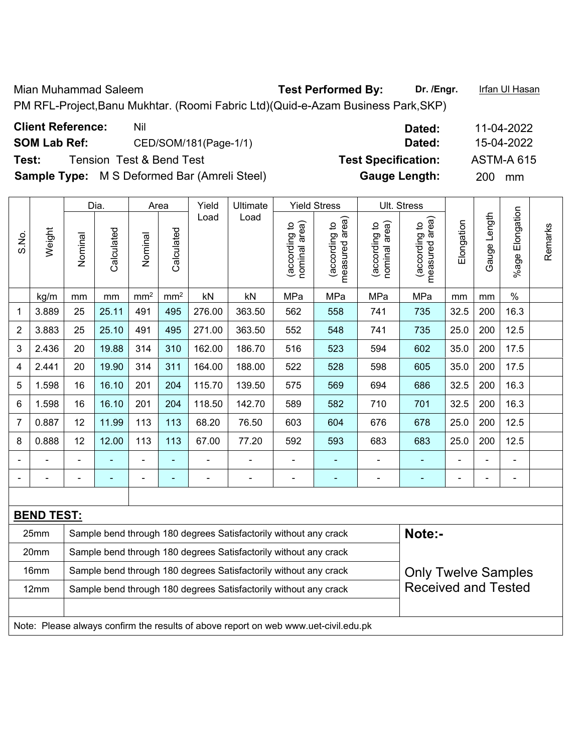Mian Muhammad Saleem **Test Performed By:** Dr. /Engr. **Infan Ul Hasan** 

PM RFL-Project,Banu Mukhtar. (Roomi Fabric Ltd)(Quid-e-Azam Business Park,SKP)

|       |                   |                | Dia.           |                 | Area            | Yield  | Ultimate                                                         |                                | <b>Yield Stress</b>             |                               | Ult. Stress                     |                |                |                      |         |
|-------|-------------------|----------------|----------------|-----------------|-----------------|--------|------------------------------------------------------------------|--------------------------------|---------------------------------|-------------------------------|---------------------------------|----------------|----------------|----------------------|---------|
| S.No. | Weight            | Nominal        | Calculated     | Nominal         | Calculated      | Load   | Load                                                             | nominal area)<br>(according to | measured area)<br>(according to | nominal area)<br>according to | (according to<br>measured area) | Elongation     | Gauge Length   | Elongation<br>%age I | Remarks |
|       | kg/m              | mm             | mm             | mm <sup>2</sup> | mm <sup>2</sup> | kN     | kN                                                               | MPa                            | MPa                             | MPa                           | MPa                             | mm             | mm             | $\%$                 |         |
| 1     | 3.889             | 25             | 25.11          | 491             | 495             | 276.00 | 363.50                                                           | 562                            | 558                             | 741                           | 735                             | 32.5           | 200            | 16.3                 |         |
| 2     | 3.883             | 25             | 25.10          | 491             | 495             | 271.00 | 363.50                                                           | 552                            | 548                             | 741                           | 735                             | 25.0           | 200            | 12.5                 |         |
| 3     | 2.436             | 20             | 19.88          | 314             | 310             | 162.00 | 186.70                                                           | 516                            | 523                             | 594                           | 602                             | 35.0           | 200            | 17.5                 |         |
| 4     | 2.441             | 20             | 19.90          | 314             | 311             | 164.00 | 188.00                                                           | 522                            | 528                             | 598                           | 605                             | 35.0           | 200            | 17.5                 |         |
| 5     | 1.598             | 16             | 16.10          | 201             | 204             | 115.70 | 139.50                                                           | 575                            | 569                             | 694                           | 686                             | 32.5           | 200            | 16.3                 |         |
| 6     | 1.598             | 16             | 16.10          | 201             | 204             | 118.50 | 142.70                                                           | 589                            | 582                             | 710                           | 701                             | 32.5           | 200            | 16.3                 |         |
| 7     | 0.887             | 12             | 11.99          | 113             | 113             | 68.20  | 76.50                                                            | 603                            | 604                             | 676                           | 678                             | 25.0           | 200            | 12.5                 |         |
| 8     | 0.888             | 12             | 12.00          | 113             | 113             | 67.00  | 77.20                                                            | 592                            | 593                             | 683                           | 683                             | 25.0           | 200            | 12.5                 |         |
|       |                   | $\blacksquare$ |                | $\blacksquare$  | $\blacksquare$  |        |                                                                  | $\overline{a}$                 | $\blacksquare$                  |                               |                                 |                | L              | $\blacksquare$       |         |
|       |                   | ۰              | $\blacksquare$ | $\blacksquare$  | $\blacksquare$  | ۰      | $\blacksquare$                                                   | $\blacksquare$                 | $\blacksquare$                  | ۰                             | ۰                               | $\blacksquare$ | $\blacksquare$ | $\blacksquare$       |         |
|       |                   |                |                |                 |                 |        |                                                                  |                                |                                 |                               |                                 |                |                |                      |         |
|       | <b>BEND TEST:</b> |                |                |                 |                 |        |                                                                  |                                |                                 |                               |                                 |                |                |                      |         |
|       | 25mm              |                |                |                 |                 |        | Sample bend through 180 degrees Satisfactorily without any crack |                                |                                 |                               | Note:-                          |                |                |                      |         |
|       | 20mm              |                |                |                 |                 |        | Sample bend through 180 degrees Satisfactorily without any crack |                                |                                 |                               |                                 |                |                |                      |         |
|       | 16mm              |                |                |                 |                 |        | Sample bend through 180 degrees Satisfactorily without any crack |                                |                                 |                               | <b>Only Twelve Samples</b>      |                |                |                      |         |
|       | 12mm              |                |                |                 |                 |        | Sample bend through 180 degrees Satisfactorily without any crack |                                |                                 |                               | <b>Received and Tested</b>      |                |                |                      |         |
|       |                   |                |                |                 |                 |        |                                                                  |                                |                                 |                               |                                 |                |                |                      |         |

Note: Please always confirm the results of above report on web www.uet-civil.edu.pk

| <b>Client Reference:</b> | Nil                                                 | Dated:                     | 11-04-2022        |
|--------------------------|-----------------------------------------------------|----------------------------|-------------------|
| <b>SOM Lab Ref:</b>      | CED/SOM/181(Page-1/1)                               | Dated:                     | 15-04-2022        |
| Test:                    | Tension Test & Bend Test                            | <b>Test Specification:</b> | <b>ASTM-A 615</b> |
|                          | <b>Sample Type:</b> M S Deformed Bar (Amreli Steel) | <b>Gauge Length:</b>       | <b>200</b><br>mm  |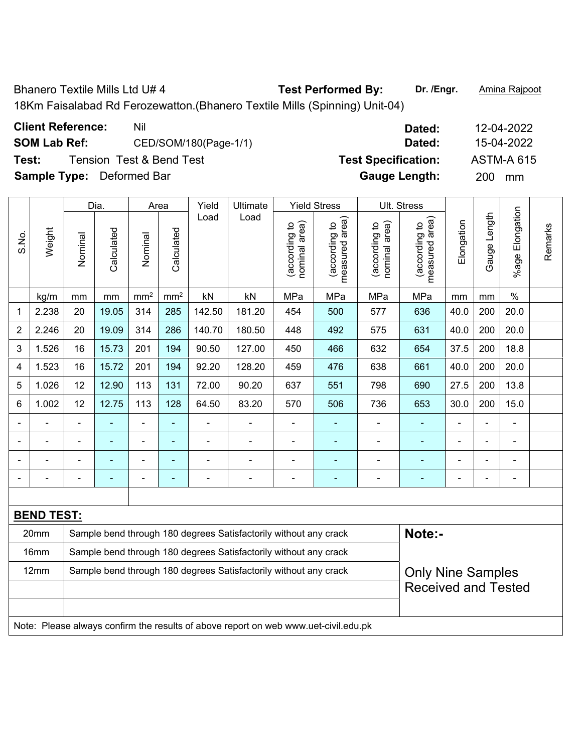Bhanero Textile Mills Ltd U# 4 **Test Performed By:** Dr. /Engr. **Amina Rajpoot** 

18Km Faisalabad Rd Ferozewatton.(Bhanero Textile Mills (Spinning) Unit-04)

| <b>Client Reference:</b> | Nil     |
|--------------------------|---------|
| COM Lah Dof.             | CED/SOM |

**Test:** Tension Test & Bend Test **Test Specification:** ASTM-A 615

|                |                   |                                                                  | Dia.       |                 | Area            | Yield                    | Ultimate                                                                            |                                | <b>Yield Stress</b>             |                                | Ult. Stress                                 |            |                |                 |         |
|----------------|-------------------|------------------------------------------------------------------|------------|-----------------|-----------------|--------------------------|-------------------------------------------------------------------------------------|--------------------------------|---------------------------------|--------------------------------|---------------------------------------------|------------|----------------|-----------------|---------|
| S.No.          | Weight            | Nominal                                                          | Calculated | Nominal         | Calculated      | Load                     | Load                                                                                | nominal area)<br>(according to | (according to<br>measured area) | (according to<br>nominal area) | (according to<br>measured area)<br>measured | Elongation | Gauge Length   | %age Elongation | Remarks |
|                | kg/m              | mm                                                               | mm         | mm <sup>2</sup> | mm <sup>2</sup> | kN                       | kN                                                                                  | MPa                            | MPa                             | MPa                            | MPa                                         | mm         | mm             | $\%$            |         |
| 1              | 2.238             | 20                                                               | 19.05      | 314             | 285             | 142.50                   | 181.20                                                                              | 454                            | 500                             | 577                            | 636                                         | 40.0       | 200            | 20.0            |         |
| $\overline{2}$ | 2.246             | 20                                                               | 19.09      | 314             | 286             | 140.70                   | 180.50                                                                              | 448                            | 492                             | 575                            | 631                                         | 40.0       | 200            | 20.0            |         |
| 3              | 1.526             | 16                                                               | 15.73      | 201             | 194             | 90.50                    | 127.00                                                                              | 450                            | 466                             | 632                            | 654                                         | 37.5       | 200            | 18.8            |         |
| 4              | 1.523             | 16                                                               | 15.72      | 201             | 194             | 92.20                    | 128.20                                                                              | 459                            | 476                             | 638                            | 661                                         | 40.0       | 200            | 20.0            |         |
| 5              | 1.026             | 12                                                               | 12.90      | 113             | 131             | 72.00                    | 90.20                                                                               | 637                            | 551                             | 798                            | 690                                         | 27.5       | 200            | 13.8            |         |
| 6              | 1.002             | 12                                                               | 12.75      | 113             | 128             | 64.50                    | 83.20                                                                               | 570                            | 506                             | 736                            | 653                                         | 30.0       | 200            | 15.0            |         |
|                |                   |                                                                  |            | ä,              | ä,              |                          |                                                                                     | $\blacksquare$                 |                                 |                                |                                             |            |                | $\blacksquare$  |         |
| ÷              |                   | $\blacksquare$                                                   | ÷,         | ÷,              | Ξ               | $\overline{\phantom{a}}$ | $\blacksquare$                                                                      | $\overline{\phantom{a}}$       | ÷                               | ÷                              | $\blacksquare$                              | ÷          | $\blacksquare$ | $\blacksquare$  |         |
|                |                   |                                                                  |            | $\blacksquare$  | ۰               |                          | $\blacksquare$                                                                      | $\overline{\phantom{a}}$       | ÷                               | ÷                              | $\blacksquare$                              | ÷          | ÷,             | $\blacksquare$  |         |
|                |                   | ÷                                                                |            | ÷,              | ٠               |                          | $\blacksquare$                                                                      | $\overline{\phantom{a}}$       | ÷                               |                                | $\blacksquare$                              | ÷          | L,             | $\blacksquare$  |         |
|                |                   |                                                                  |            |                 |                 |                          |                                                                                     |                                |                                 |                                |                                             |            |                |                 |         |
|                | <b>BEND TEST:</b> |                                                                  |            |                 |                 |                          |                                                                                     |                                |                                 |                                |                                             |            |                |                 |         |
|                | 20mm              |                                                                  |            |                 |                 |                          | Sample bend through 180 degrees Satisfactorily without any crack                    |                                |                                 |                                | Note:-                                      |            |                |                 |         |
|                | 16mm              | Sample bend through 180 degrees Satisfactorily without any crack |            |                 |                 |                          |                                                                                     |                                |                                 |                                |                                             |            |                |                 |         |
|                | 12mm              |                                                                  |            |                 |                 |                          | Sample bend through 180 degrees Satisfactorily without any crack                    |                                |                                 |                                | <b>Only Nine Samples</b>                    |            |                |                 |         |
|                |                   |                                                                  |            |                 |                 |                          |                                                                                     |                                |                                 |                                | <b>Received and Tested</b>                  |            |                |                 |         |
|                |                   |                                                                  |            |                 |                 |                          |                                                                                     |                                |                                 |                                |                                             |            |                |                 |         |
|                |                   |                                                                  |            |                 |                 |                          | Note: Please always confirm the results of above report on web www.uet-civil.edu.pk |                                |                                 |                                |                                             |            |                |                 |         |

**Client Reference:** Nil **Dated:** 12-04-2022 **SOM Lab Ref:** CED/SOM/180(Page-1/1) **Dated:** 15-04-2022 **Sample Type:** Deformed Bar **Gauge Length:** 200 mm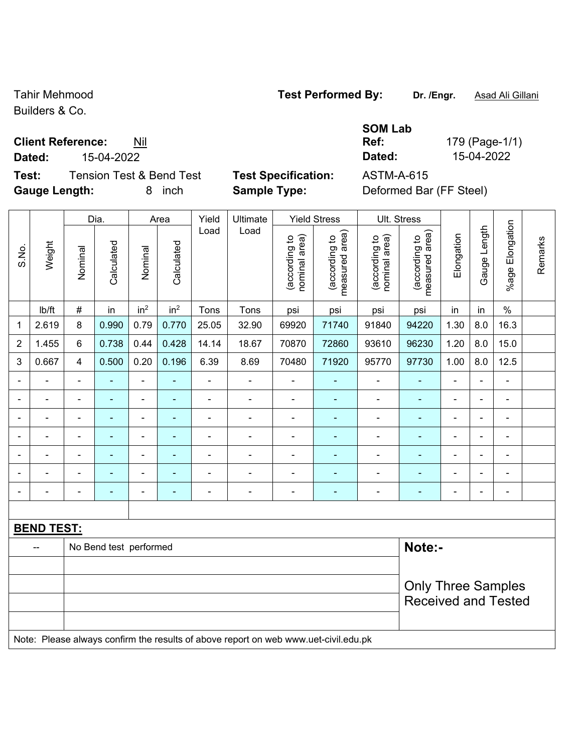Builders & Co.

Г

 $\overline{\phantom{a}}$ 

## **Client Reference:** Nil

**Test:** Tension Test & Bend Test **Test Specification:** ASTM-A-615 **Gauge Length:** 8 inch **Sample Type:** Deformed Bar (FF Steel)

|  | $-$ | $\overline{\phantom{0}}$ | $\overline{\phantom{a}}$ | <br>$-$ |  |  |  | -------- |  |  |
|--|-----|--------------------------|--------------------------|---------|--|--|--|----------|--|--|
|  |     |                          |                          |         |  |  |  |          |  |  |
|  |     |                          |                          |         |  |  |  |          |  |  |
|  |     |                          |                          |         |  |  |  |          |  |  |
|  |     |                          |                          |         |  |  |  |          |  |  |

**SOM Lab Ref:** 179 (Page-1/1) **Dated:** 15-04-2022 **Dated:** 15-04-2022

|                |                   |                          | Dia.                   |                              | Area            | Yield          | Ultimate                                                                            |                                | <b>Yield Stress</b>             |                                | Ult. Stress                     |                |                |                              |         |
|----------------|-------------------|--------------------------|------------------------|------------------------------|-----------------|----------------|-------------------------------------------------------------------------------------|--------------------------------|---------------------------------|--------------------------------|---------------------------------|----------------|----------------|------------------------------|---------|
| S.No.          | Weight            | Nominal                  | Calculated             | Nominal                      | Calculated      | Load           | Load                                                                                | (according to<br>nominal area) | (according to<br>measured area) | (according to<br>nominal area) | (according to<br>measured area) | Elongation     | Gauge Length   | Elongation<br>$%$ age        | Remarks |
|                | lb/ft             | $\#$                     | in                     | in <sup>2</sup>              | in <sup>2</sup> | Tons           | Tons                                                                                | psi                            | psi                             | psi                            | psi                             | in             | in             | $\%$                         |         |
| 1              | 2.619             | 8                        | 0.990                  | 0.79                         | 0.770           | 25.05          | 32.90                                                                               | 69920                          | 71740                           | 91840                          | 94220                           | 1.30           | 8.0            | 16.3                         |         |
| $\overline{2}$ | 1.455             | 6                        | 0.738                  | 0.44                         | 0.428           | 14.14          | 18.67                                                                               | 70870                          | 72860                           | 93610                          | 96230                           | 1.20           | 8.0            | 15.0                         |         |
| 3              | 0.667             | $\overline{4}$           | 0.500                  | 0.20                         | 0.196           | 6.39           | 8.69                                                                                | 70480                          | 71920                           | 95770                          | 97730                           | 1.00           | 8.0            | 12.5                         |         |
|                |                   | $\blacksquare$           | $\blacksquare$         | $\blacksquare$               |                 |                | $\blacksquare$                                                                      |                                |                                 |                                | $\blacksquare$                  |                |                | $\blacksquare$               |         |
|                |                   |                          |                        | $\blacksquare$               |                 |                | $\blacksquare$                                                                      | $\blacksquare$                 |                                 |                                |                                 |                |                | $\blacksquare$               |         |
| $\blacksquare$ |                   | $\blacksquare$           | ٠                      | ۰                            | ۳               | $\blacksquare$ | $\blacksquare$                                                                      | $\blacksquare$                 | ۰                               | $\blacksquare$                 | $\blacksquare$                  | $\blacksquare$ | $\blacksquare$ | $\blacksquare$               |         |
| ÷              |                   | $\blacksquare$           | ÷                      | ÷,                           | $\blacksquare$  | ÷              | $\blacksquare$                                                                      | $\blacksquare$                 | ÷                               | ÷                              | -                               | $\blacksquare$ | $\blacksquare$ | $\blacksquare$               |         |
|                |                   | $\blacksquare$           | $\blacksquare$         | ÷,                           | ٠               | ÷              | $\overline{\phantom{a}}$                                                            | $\blacksquare$                 | $\blacksquare$                  | $\blacksquare$                 | $\blacksquare$                  | $\blacksquare$ | $\blacksquare$ | $\blacksquare$               |         |
|                |                   | $\blacksquare$           | $\blacksquare$         | $\qquad \qquad \blacksquare$ | ٠               | ä,             | $\blacksquare$                                                                      | ä,                             | ۰                               | $\blacksquare$                 | $\blacksquare$                  | $\blacksquare$ |                | $\blacksquare$               |         |
| ۰              | $\blacksquare$    | $\overline{\phantom{a}}$ | ÷                      | $\qquad \qquad \blacksquare$ | ۰               | ÷              | $\overline{a}$                                                                      | $\blacksquare$                 | $\blacksquare$                  | -                              | $\blacksquare$                  | $\blacksquare$ |                | $\qquad \qquad \blacksquare$ |         |
|                |                   |                          |                        |                              |                 |                |                                                                                     |                                |                                 |                                |                                 |                |                |                              |         |
|                | <b>BEND TEST:</b> |                          |                        |                              |                 |                |                                                                                     |                                |                                 |                                |                                 |                |                |                              |         |
|                |                   |                          | No Bend test performed |                              |                 |                |                                                                                     |                                |                                 |                                | Note:-                          |                |                |                              |         |
|                |                   |                          |                        |                              |                 |                |                                                                                     |                                |                                 |                                |                                 |                |                |                              |         |
|                |                   |                          |                        |                              |                 |                |                                                                                     |                                |                                 |                                | <b>Only Three Samples</b>       |                |                |                              |         |
|                |                   |                          |                        |                              |                 |                |                                                                                     |                                |                                 |                                | <b>Received and Tested</b>      |                |                |                              |         |
|                |                   |                          |                        |                              |                 |                |                                                                                     |                                |                                 |                                |                                 |                |                |                              |         |
|                |                   |                          |                        |                              |                 |                | Note: Please always confirm the results of above report on web www.uet-civil.edu.pk |                                |                                 |                                |                                 |                |                |                              |         |

Tahir Mehmood **Test Performed By:** Dr. /Engr. **Asad Ali Gillani**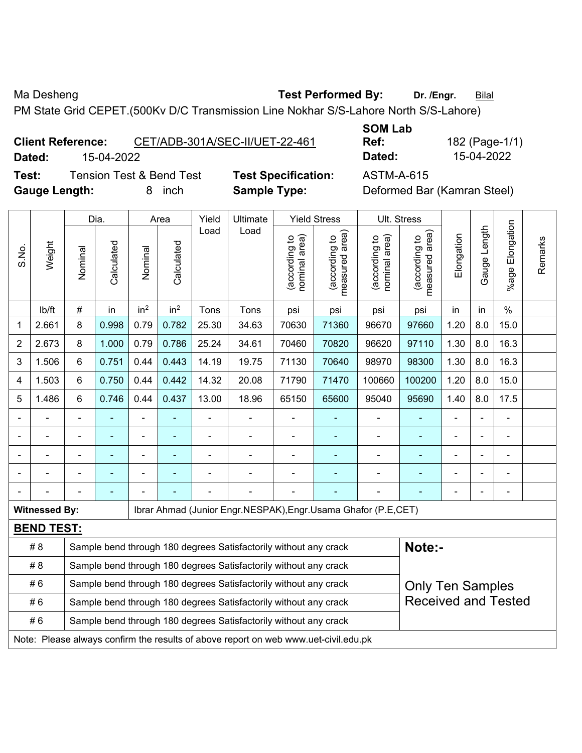Ma Desheng **Test Performed By:** Dr. /Engr. **Bilal** 

PM State Grid CEPET.(500Kv D/C Transmission Line Nokhar S/S-Lahore North S/S-Lahore)

**Client Reference:** CET/ADB-301A/SEC-II/UET-22-461 **Dated:** 15-04-2022 **Dated:** 15-04-2022

**SOM Lab Ref:** 182 (Page-1/1)

**Test:** Tension Test & Bend Test **Test Specification:** ASTM-A-615 **Gauge Length:** 8 inch **Sample Type:** Deformed Bar (Kamran Steel)

|                |                      |                                                                                             | Dia.           |                 | Area            | Yield          | Ultimate                                                                            |                                | <b>Yield Stress</b>             |                                | Ult. Stress                     |                |                          |                          |         |
|----------------|----------------------|---------------------------------------------------------------------------------------------|----------------|-----------------|-----------------|----------------|-------------------------------------------------------------------------------------|--------------------------------|---------------------------------|--------------------------------|---------------------------------|----------------|--------------------------|--------------------------|---------|
| S.No.          | Weight               | Nominal                                                                                     | Calculated     | Nominal         | Calculated      | Load           | Load                                                                                | nominal area)<br>(according to | (according to<br>measured area) | nominal area)<br>(according to | (according to<br>measured area) | Elongation     | Gauge Length             | Elongation<br>$%$ age    | Remarks |
|                | lb/ft                | $\#$                                                                                        | in             | in <sup>2</sup> | in <sup>2</sup> | Tons           | Tons                                                                                | psi                            | psi                             | psi                            | psi                             | in             | in                       | $\%$                     |         |
| 1              | 2.661                | 8                                                                                           | 0.998          | 0.79            | 0.782           | 25.30          | 34.63                                                                               | 70630                          | 71360                           | 96670                          | 97660                           | 1.20           | 8.0                      | 15.0                     |         |
| $\overline{2}$ | 2.673                | 8                                                                                           | 1.000          | 0.79            | 0.786           | 25.24          | 34.61                                                                               | 70460                          | 70820                           | 96620                          | 97110                           | 1.30           | 8.0                      | 16.3                     |         |
| 3              | 1.506                | 6                                                                                           | 0.751          | 0.44            | 0.443           | 14.19          | 19.75                                                                               | 71130                          | 70640                           | 98970                          | 98300                           | 1.30           | 8.0                      | 16.3                     |         |
| 4              | 1.503                | 6                                                                                           | 0.750          | 0.44            | 0.442           | 14.32          | 20.08                                                                               | 71790                          | 71470                           | 100660                         | 100200                          | 1.20           | 8.0                      | 15.0                     |         |
| 5              | 1.486                | 6                                                                                           | 0.746          | 0.44            | 0.437           | 13.00          | 18.96                                                                               | 65150                          | 65600                           | 95040                          | 95690                           | 1.40           | 8.0                      | 17.5                     |         |
|                |                      |                                                                                             |                |                 |                 |                | ä,                                                                                  | $\blacksquare$                 | $\blacksquare$                  |                                |                                 |                | $\overline{\phantom{0}}$ | $\overline{\phantom{0}}$ |         |
|                | $\frac{1}{2}$        | $\blacksquare$                                                                              | ÷              | ÷               |                 | $\blacksquare$ | ÷                                                                                   | $\blacksquare$                 | $\blacksquare$                  | $\blacksquare$                 | ÷                               | $\blacksquare$ | $\blacksquare$           | $\blacksquare$           |         |
|                | ÷                    | $\blacksquare$                                                                              | $\blacksquare$ | ÷               |                 |                | $\blacksquare$                                                                      | L,                             | ٠                               |                                |                                 | ä,             |                          | $\blacksquare$           |         |
|                |                      |                                                                                             |                |                 |                 |                |                                                                                     |                                |                                 |                                |                                 |                |                          | $\blacksquare$           |         |
|                |                      |                                                                                             |                |                 |                 |                |                                                                                     |                                |                                 |                                |                                 |                |                          | ۰                        |         |
|                | <b>Witnessed By:</b> |                                                                                             |                |                 |                 |                | Ibrar Ahmad (Junior Engr.NESPAK), Engr.Usama Ghafor (P.E, CET)                      |                                |                                 |                                |                                 |                |                          |                          |         |
|                | <b>BEND TEST:</b>    |                                                                                             |                |                 |                 |                |                                                                                     |                                |                                 |                                |                                 |                |                          |                          |         |
|                | # 8                  |                                                                                             |                |                 |                 |                | Sample bend through 180 degrees Satisfactorily without any crack                    |                                |                                 |                                | Note:-                          |                |                          |                          |         |
|                | #8                   |                                                                                             |                |                 |                 |                | Sample bend through 180 degrees Satisfactorily without any crack                    |                                |                                 |                                |                                 |                |                          |                          |         |
|                | #6                   | Sample bend through 180 degrees Satisfactorily without any crack<br><b>Only Ten Samples</b> |                |                 |                 |                |                                                                                     |                                |                                 |                                |                                 |                |                          |                          |         |
|                | #6                   |                                                                                             |                |                 |                 |                | Sample bend through 180 degrees Satisfactorily without any crack                    |                                |                                 |                                | <b>Received and Tested</b>      |                |                          |                          |         |
|                | #6                   | Sample bend through 180 degrees Satisfactorily without any crack                            |                |                 |                 |                |                                                                                     |                                |                                 |                                |                                 |                |                          |                          |         |
|                |                      |                                                                                             |                |                 |                 |                | Note: Please always confirm the results of above report on web www.uet-civil.edu.pk |                                |                                 |                                |                                 |                |                          |                          |         |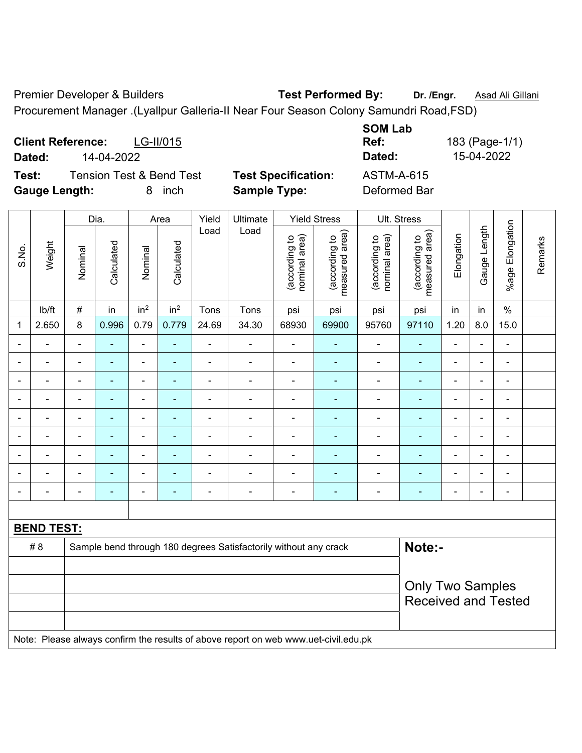Premier Developer & Builders **Test Performed By:** Dr. /Engr. **Asad Ali Gillani** 

Procurement Manager .(Lyallpur Galleria-II Near Four Season Colony Samundri Road,FSD)

| <b>Client Reference:</b><br>LG-II/015<br>14-04-2022<br>Dated:                |                                                   | <b>SOM Lab</b><br>Ref:<br>Dated:  | 183 (Page-1/1)<br>15-04-2022 |
|------------------------------------------------------------------------------|---------------------------------------------------|-----------------------------------|------------------------------|
| Test:<br><b>Tension Test &amp; Bend Test</b><br><b>Gauge Length:</b><br>inch | <b>Test Specification:</b><br><b>Sample Type:</b> | <b>ASTM-A-615</b><br>Deformed Bar |                              |

|                |                          |                          | Dia.           |                          | Area            | Yield                    | Ultimate                                                                            |                                | <b>Yield Stress</b>             |                                | Ult. Stress                                           |                          |                          |                              |         |
|----------------|--------------------------|--------------------------|----------------|--------------------------|-----------------|--------------------------|-------------------------------------------------------------------------------------|--------------------------------|---------------------------------|--------------------------------|-------------------------------------------------------|--------------------------|--------------------------|------------------------------|---------|
| S.No.          | Weight                   | Nominal                  | Calculated     | Nominal                  | Calculated      | Load                     | Load                                                                                | nominal area)<br>(according to | (according to<br>measured area) | (according to<br>nominal area) | (according to<br>measured area)                       | Elongation               | Gauge Length             | %age Elongation              | Remarks |
|                | Ib/ft                    | #                        | in             | in <sup>2</sup>          | in <sup>2</sup> | Tons                     | Tons                                                                                | psi                            | psi                             | psi                            | psi                                                   | in                       | in                       | $\%$                         |         |
| 1              | 2.650                    | 8                        | 0.996          | 0.79                     | 0.779           | 24.69                    | 34.30                                                                               | 68930                          | 69900                           | 95760                          | 97110                                                 | 1.20                     | 8.0                      | 15.0                         |         |
|                | ÷                        | $\overline{\phantom{a}}$ | $\frac{1}{2}$  | $\blacksquare$           | ÷,              | $\blacksquare$           | $\blacksquare$                                                                      | $\blacksquare$                 | ٠                               | $\overline{\phantom{a}}$       | $\blacksquare$                                        | $\blacksquare$           | ÷                        | ÷,                           |         |
|                | $\blacksquare$           | $\blacksquare$           | ۰              | $\overline{\phantom{0}}$ | $\blacksquare$  | $\overline{\phantom{a}}$ | $\blacksquare$                                                                      | $\blacksquare$                 | ٠                               | $\blacksquare$                 | $\blacksquare$                                        | $\overline{\phantom{a}}$ | $\blacksquare$           | $\overline{\phantom{a}}$     |         |
|                | ÷                        | $\blacksquare$           | $\blacksquare$ | ÷,                       |                 | $\blacksquare$           | $\blacksquare$                                                                      | L,                             | ۰                               | ÷                              | $\blacksquare$                                        | $\blacksquare$           | Ē,                       | $\blacksquare$               |         |
|                | ÷                        | $\blacksquare$           | ٠              | ÷,                       |                 | $\blacksquare$           | $\blacksquare$                                                                      | ä,                             | ۰                               | $\blacksquare$                 | $\blacksquare$                                        | $\blacksquare$           | ÷                        | $\blacksquare$               |         |
|                |                          |                          | $\blacksquare$ | ÷                        |                 |                          | $\blacksquare$                                                                      | $\blacksquare$                 |                                 | $\blacksquare$                 |                                                       |                          |                          | $\blacksquare$               |         |
|                |                          |                          | $\blacksquare$ | ÷                        |                 |                          | $\blacksquare$                                                                      | $\blacksquare$                 | $\blacksquare$                  | $\overline{a}$                 |                                                       | $\overline{\phantom{a}}$ |                          | $\blacksquare$               |         |
|                | $\blacksquare$           | $\blacksquare$           | $\blacksquare$ | ÷                        |                 |                          | $\blacksquare$                                                                      | $\blacksquare$                 |                                 | $\overline{\phantom{0}}$       | $\blacksquare$                                        | $\blacksquare$           | $\overline{\phantom{0}}$ | $\blacksquare$               |         |
|                | Ē,                       |                          | ÷              | ÷,                       |                 |                          |                                                                                     | $\blacksquare$                 |                                 | $\overline{a}$                 |                                                       | $\blacksquare$           | Ē,                       | $\qquad \qquad \blacksquare$ |         |
| $\blacksquare$ | $\overline{\phantom{0}}$ | $\blacksquare$           | ۰              | ÷                        | $\blacksquare$  | $\blacksquare$           | $\overline{\phantom{a}}$                                                            | $\blacksquare$                 | ۰                               | $\overline{\phantom{a}}$       | $\blacksquare$                                        | $\blacksquare$           | $\blacksquare$           | $\qquad \qquad \blacksquare$ |         |
|                |                          |                          |                |                          |                 |                          |                                                                                     |                                |                                 |                                |                                                       |                          |                          |                              |         |
|                | <b>BEND TEST:</b>        |                          |                |                          |                 |                          |                                                                                     |                                |                                 |                                |                                                       |                          |                          |                              |         |
|                | # 8                      |                          |                |                          |                 |                          | Sample bend through 180 degrees Satisfactorily without any crack                    |                                |                                 |                                | Note:-                                                |                          |                          |                              |         |
|                |                          |                          |                |                          |                 |                          |                                                                                     |                                |                                 |                                |                                                       |                          |                          |                              |         |
|                |                          |                          |                |                          |                 |                          |                                                                                     |                                |                                 |                                | <b>Only Two Samples</b><br><b>Received and Tested</b> |                          |                          |                              |         |
|                |                          |                          |                |                          |                 |                          | Note: Please always confirm the results of above report on web www.uet-civil.edu.pk |                                |                                 |                                |                                                       |                          |                          |                              |         |